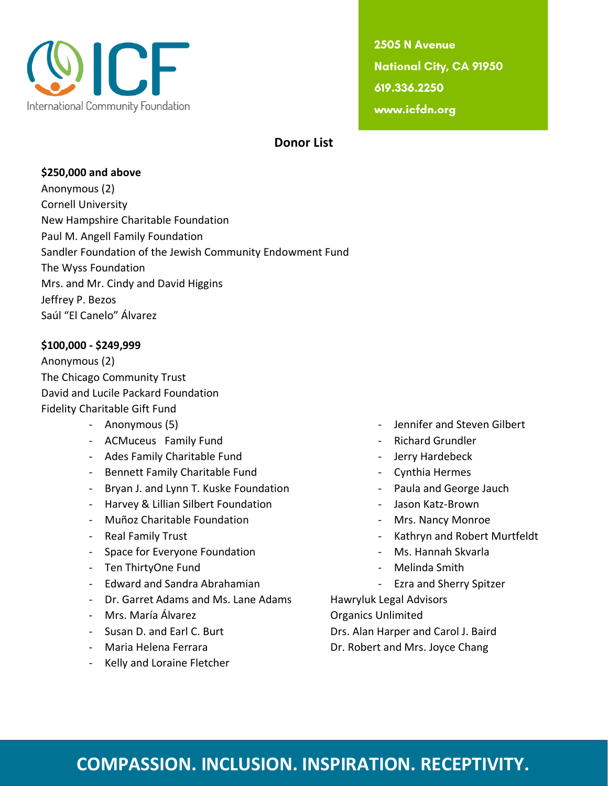

2505 N Avenue **National City, CA 91950** 619.336.2250 www.icfdn.org

#### **Donor List**

#### **\$250,000 and above**

Anonymous (2) Cornell University New Hampshire Charitable Foundation Paul M. Angell Family Foundation Sandler Foundation of the Jewish Community Endowment Fund The Wyss Foundation Mrs. and Mr. Cindy and David Higgins Jeffrey P. Bezos Saúl "El Canelo" Álvarez

#### **\$100,000 - \$249,999**

Anonymous (2) The Chicago Community Trust David and Lucile Packard Foundation Fidelity Charitable Gift Fund

- 
- ACMuceus Family Fund  **ACMuceus Family Fund**
- Ades Family Charitable Fund Jerry Hardebeck
- Bennett Family Charitable Fund Cynthia Hermes
- Bryan J. and Lynn T. Kuske Foundation **Frank County 12 and George Jauch**
- Harvey & Lillian Silbert Foundation The State Brown Jason Katz-Brown
- Muñoz Charitable Foundation Missillah Roman Mrs. Nancy Monroe
- 
- Space for Everyone Foundation Ms. Hannah Skvarla
- Ten ThirtyOne Fund **Containers** The Melinda Smith
- Edward and Sandra Abrahamian The Sandra Care and Sherry Spitzer
- Dr. Garret Adams and Ms. Lane Adams Hawryluk Legal Advisors
- Mrs. María Álvarez **Canada a Catalaceae** Organics Unlimited
- 
- 
- Kelly and Loraine Fletcher
- Anonymous (5) **Anonymous** (5) **Alternative Contract Act 2018** 
	-
	-
	-
	-
	-
	-
- Real Family Trust  **Kathryn and Robert Murtfeldt** 
	-
	-
	-

- Susan D. and Earl C. Burt **Drs. Alan Harper and Carol J. Baird** 

- Maria Helena Ferrara **DR. Robert and Mrs. Joyce Chang**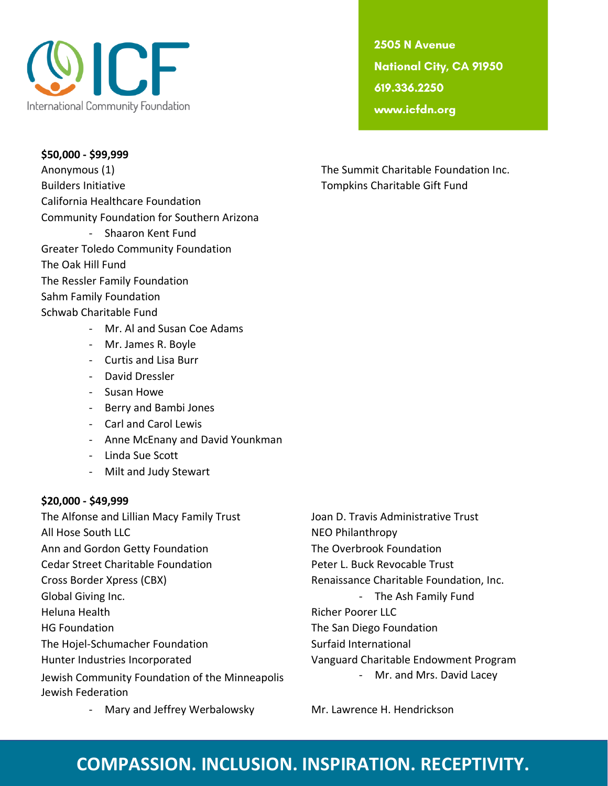

**\$50,000 - \$99,999** Anonymous (1) The Summit Charitable Foundation Inc. Builders Initiative Tompkins Charitable Gift Fund California Healthcare Foundation Community Foundation for Southern Arizona - Shaaron Kent Fund Greater Toledo Community Foundation The Oak Hill Fund The Ressler Family Foundation Sahm Family Foundation Schwab Charitable Fund - Mr. Al and Susan Coe Adams

2505 N Avenue **National City, CA 91950** 619.336.2250 www.icfdn.org

- Mr. James R. Boyle
- Curtis and Lisa Burr
- David Dressler
- Susan Howe
- Berry and Bambi Jones
- Carl and Carol Lewis
- Anne McEnany and David Younkman
- Linda Sue Scott
- Milt and Judy Stewart

#### **\$20,000 - \$49,999**

The Alfonse and Lillian Macy Family Trust Joan D. Travis Administrative Trust All Hose South LLC NEO Philanthropy Ann and Gordon Getty Foundation The Overbrook Foundation Cedar Street Charitable Foundation **Peter L. Buck Revocable Trust** Cross Border Xpress (CBX) Renaissance Charitable Foundation, Inc. Global Giving Inc. **Container a structure of the Ash Family Fund** Fund School and The Ash Family Fund Heluna Health **Richer Poorer LLC** HG Foundation The San Diego Foundation The Hojel-Schumacher Foundation Surfaid International Hunter Industries Incorporated Vanguard Charitable Endowment Program Jewish Community Foundation of the Minneapolis Jewish Federation

- Mr. and Mrs. David Lacey

- Mary and Jeffrey Werbalowsky Mr. Lawrence H. Hendrickson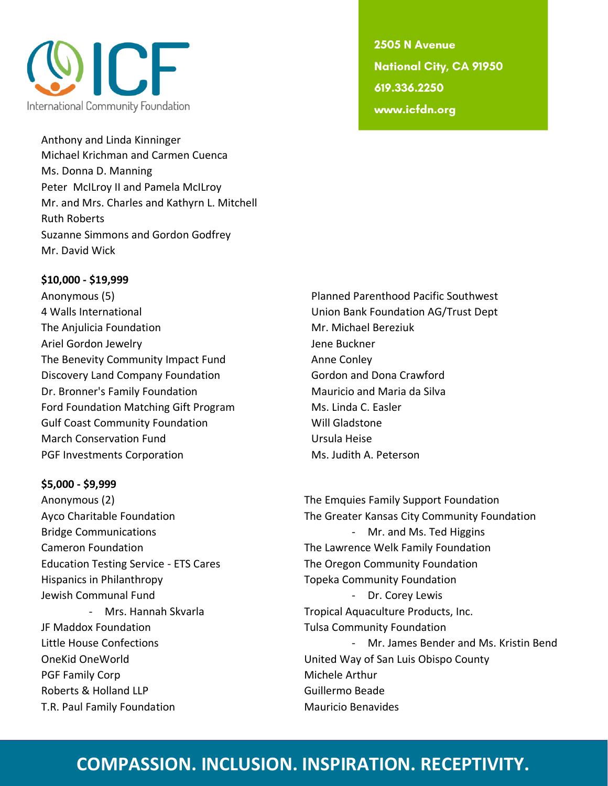

Anthony and Linda Kinninger Michael Krichman and Carmen Cuenca Ms. Donna D. Manning Peter McILroy II and Pamela McILroy Mr. and Mrs. Charles and Kathyrn L. Mitchell Ruth Roberts Suzanne Simmons and Gordon Godfrey Mr. David Wick

#### **\$10,000 - \$19,999**

Anonymous (5) Planned Parenthood Pacific Southwest 4 Walls International Union Bank Foundation AG/Trust Dept The Anjulicia Foundation Mr. Michael Bereziuk Ariel Gordon Jewelry **Ariel Gordon Jewelry Jene Buckner** The Benevity Community Impact Fund Anne Conley Discovery Land Company Foundation Gordon and Dona Crawford Dr. Bronner's Family Foundation **Mauricio and Maria da Silva** Mauricio and Maria da Silva Ford Foundation Matching Gift Program Ms. Linda C. Easler Gulf Coast Community Foundation The Mill Gladstone March Conservation Fund Ursula Heise PGF Investments Corporation and Ms. Judith A. Peterson

#### **\$5,000 - \$9,999**

Education Testing Service - ETS Cares The Oregon Community Foundation Hispanics in Philanthropy The Community Foundation Topeka Community Foundation Jewish Communal Fund **All According to the Contract Contract Contract Contract Contract Contract Contract Control** JF Maddox Foundation **Tulsa Community Foundation** PGF Family Corp **Michele Arthur** Roberts & Holland LLP Guillermo Beade T.R. Paul Family Foundation Mauricio Benavides

2505 N Avenue **National City, CA 91950** 619.336.2250 www.icfdn.org

Anonymous (2) The Emquies Family Support Foundation Ayco Charitable Foundation The Greater Kansas City Community Foundation Bridge Communications and Ms. Ted Higgins and Ms. Ted Higgins Cameron Foundation The Lawrence Welk Family Foundation - Mrs. Hannah Skvarla **Tropical Aquaculture Products, Inc.** Little House Confections **Accord Participate 1** Mr. James Bender and Ms. Kristin Bend OneKid OneWorld United Way of San Luis Obispo County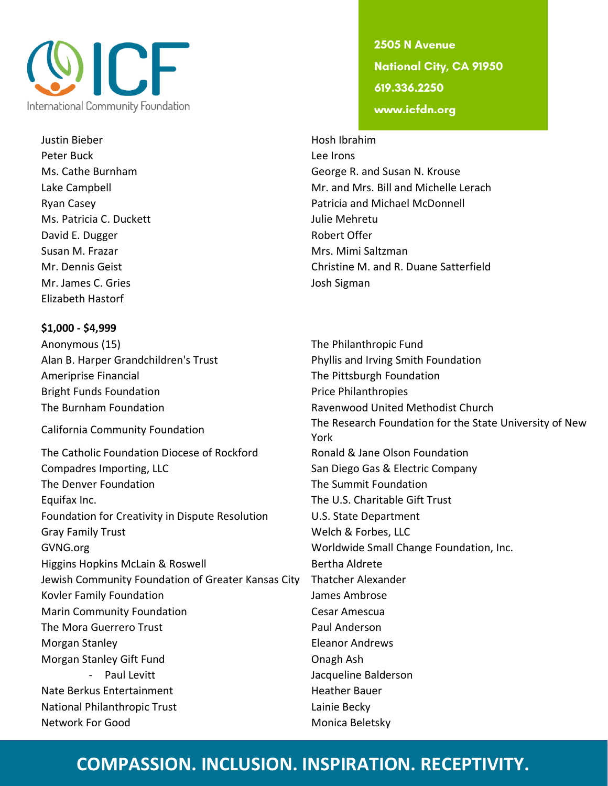

Justin Bieber **Hosh Ibrahim** Peter Buck Lee Irons Ms. Patricia C. Duckett Julie Mehretu David E. Dugger Robert Offer Susan M. Frazar **Music Albert Mrs. Mimi Saltzman** Mr. James C. Gries **Josh Sigman** Elizabeth Hastorf

**\$1,000 - \$4,999** Anonymous (15) The Philanthropic Fund Alan B. Harper Grandchildren's Trust Phyllis and Irving Smith Foundation Ameriprise Financial **The Pittsburgh Foundation** Bright Funds Foundation **Price Philanthropies** Price Philanthropies

The Catholic Foundation Diocese of Rockford Ronald & Jane Olson Foundation Compadres Importing, LLC Company San Diego Gas & Electric Company The Denver Foundation The Summit Foundation Equifax Inc. The U.S. Charitable Gift Trust Foundation for Creativity in Dispute Resolution U.S. State Department Gray Family Trust No. 2012 19:30 Network Welch & Forbes, LLC GVNG.org **GVNG.org Worldwide Small Change Foundation, Inc.** Higgins Hopkins McLain & Roswell Bertha Aldrete Jewish Community Foundation of Greater Kansas City Thatcher Alexander Kovler Family Foundation and Ambrose James Ambrose Marin Community Foundation **Cesar Amescua** The Mora Guerrero Trust **Paul Anderson** Morgan Stanley **Eleanor Andrews** Morgan Stanley Gift Fund **Constanting Constanting Constanting Constanting Constanting Constanting Constanting Constanting Constanting Constanting Constanting Constanting Constanting Constanting Constanting Constanting Cons** - Paul Levitt **Jacqueline Balderson** Nate Berkus Entertainment Nate Bauer National Philanthropic Trust Lainie Becky Network For Good Network For Good Network For Good

2505 N Avenue **National City, CA 91950** 619.336.2250 www.icfdn.org

Ms. Cathe Burnham George R. and Susan N. Krouse Lake Campbell **Example 2** and Mr. and Mrs. Bill and Michelle Lerach Ryan Casey **Patricia and Michael McDonnell** Patricia and Michael McDonnell Mr. Dennis Geist Christine M. and R. Duane Satterfield

The Burnham Foundation Ravenwood United Methodist Church California Community Foundation The Research Foundation for the State University of New York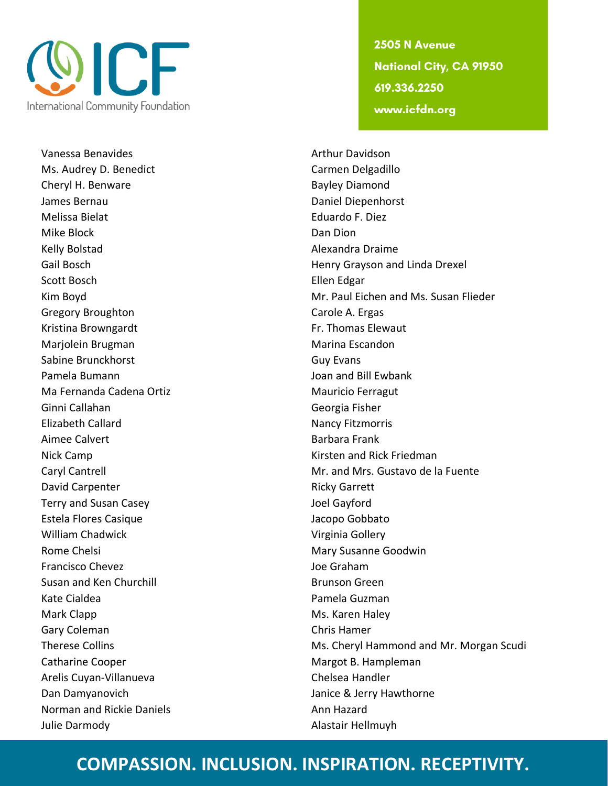

Vanessa Benavides **Arthur Davidson** Arthur Davidson Ms. Audrey D. Benedict Carmen Delgadillo Cheryl H. Benware **Bayley Diamond** James Bernau Daniel Diepenhorst Melissa Bielat Eduardo F. Diez Mike Block **Dan Dion** Kelly Bolstad **Alexandra Draime** Scott Bosch **Ellen** Edgar Gregory Broughton Carole A. Ergas Kristina Browngardt **Fr. Thomas Elewaut** Marjolein Brugman Marina Escandon Sabine Brunckhorst Guy Evans Pamela Bumann Joan and Bill Ewbank Ma Fernanda Cadena Ortiz Manus de Mauricio Ferragut Ginni Callahan Georgia Fisher Elizabeth Callard **Nancy Fitzmorris** Nancy Fitzmorris Aimee Calvert **Barbara Frank** Nick Camp **Kirsten and Rick Friedman** David Carpenter **Ricky Garrett** Terry and Susan Casey **Joel Gayford** Estela Flores Casique **Access External Estela Flores Casique** Jacopo Gobbato William Chadwick **Virginia Gollery** Virginia Gollery Rome Chelsi **Mary Susanne Goodwin** Francisco Chevez Joe Graham Susan and Ken Churchill Brunson Green Kate Cialdea **Pamela Guzman** Mark Clapp Mark Clapp Mark Clapp Ms. Karen Haley Gary Coleman Chris Hamer Catharine Cooper **Margot B. Hampleman** Arelis Cuyan-Villanueva<br>
Chelsea Handler Dan Damyanovich **Janice & Jerry Hawthorne** Norman and Rickie Daniels **Ann Hazard** Ann Hazard Julie Darmody **Alastair Hellmuyh** 

2505 N Avenue **National City, CA 91950** 619.336.2250 www.icfdn.org

Gail Bosch **Henry Grayson and Linda Drexel** Kim Boyd Mr. Paul Eichen and Ms. Susan Flieder Caryl Cantrell **Cantrell** Cantrell Mr. and Mrs. Gustavo de la Fuente Therese Collins **Ms. Cheryl Hammond and Mr. Morgan Scudi**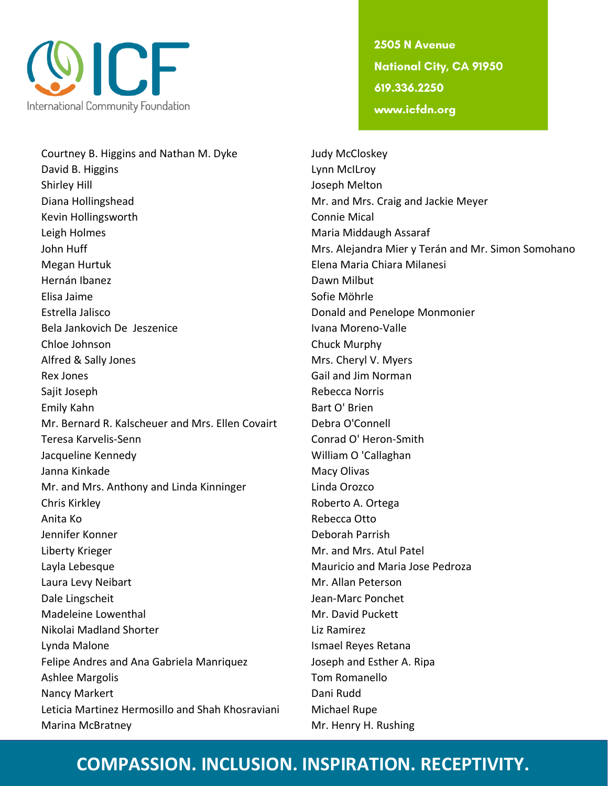

Courtney B. Higgins and Nathan M. Dyke Judy McCloskey David B. Higgins **Lynn McILroy** Shirley Hill Joseph Melton Diana Hollingshead **Mr.** and Mrs. Craig and Jackie Meyer Kevin Hollingsworth **Connie Mical** Leigh Holmes **Maria Maria Middaugh Assaraf** Megan Hurtuk Elena Maria Chiara Milanesi Hernán Ibanez **Dawn Dawn Milbut** Elisa Jaime Sofie Möhrle Estrella Jalisco Donald and Penelope Monmonier Bela Jankovich De Jeszenice **Ivana Moreno-Valle** Chloe Johnson Chuck Murphy Alfred & Sally Jones **Mrs. Cheryl V. Myers** Mrs. Cheryl V. Myers Rex Jones Gail and Jim Norman Company of the Gail and Jim Norman Company of the Gail and Jim Norman Company of the Gail and Jim Norman Company of the Gail and Jim Norman Company of the Gail and Jim Norman Company of the Ga Sajit Joseph **Rebecca Norris Rebecca Norris** Emily Kahn Bart O' Brien Mr. Bernard R. Kalscheuer and Mrs. Ellen Covairt Debra O'Connell Teresa Karvelis-Senn Conrad O' Heron-Smith Jacqueline Kennedy William O 'Callaghan Janna Kinkade Macy Olivas and Macy Olivas and Macy Olivas and Macy Olivas and Macy Olivas and Macy Olivas and M Mr. and Mrs. Anthony and Linda Kinninger Linda Orozco Chris Kirkley **A. Ortega** Roberto A. Ortega Anita Ko **Rebecca Otto** Jennifer Konner National Basic Communication of the Deborah Parrish Liberty Krieger Mr. and Mrs. Atul Patel Layla Lebesque **Mauricio and Maria Jose Pedroza** Mauricio and Maria Jose Pedroza Laura Levy Neibart Museum and Mr. Allan Peterson Dale Lingscheit **Dale Lingscheit** Jean-Marc Ponchet Madeleine Lowenthal Mr. David Puckett Nikolai Madland Shorter Liz Ramirez Lynda Malone Ismael Reyes Retana Felipe Andres and Ana Gabriela Manriquez Joseph and Esther A. Ripa Ashlee Margolis **Tom Romanello** Nancy Markert **Dani Rudd** Dani Rudd Leticia Martinez Hermosillo and Shah Khosraviani Michael Rupe Marina McBratney Mr. Henry H. Rushing

2505 N Avenue **National City, CA 91950** 619.336.2250 www.icfdn.org

John Huff **Mrs. Alejandra Mier y Terán and Mr. Simon Somohano** Mrs. Alejandra Mier y Terán and Mr. Simon Somohano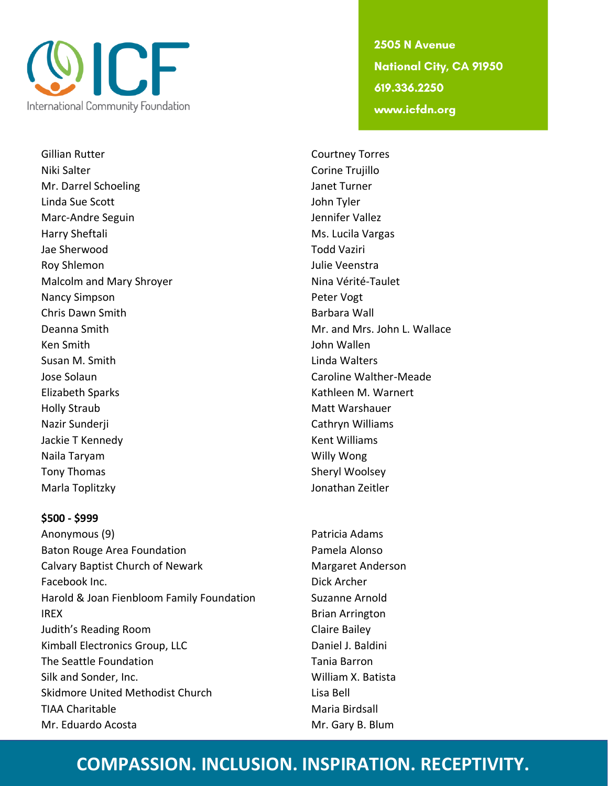

Gillian Rutter Courtney Torres Niki Salter Corine Trujillo Mr. Darrel Schoeling and Turner Janet Turner Linda Sue Scott John Tyler Marc-Andre Seguin and The University of the University of Tennifer Vallez Harry Sheftali Ms. Lucila Vargas Jae Sherwood Todd Vaziri Roy Shlemon **Now Shlemon Julie Veenstra** Malcolm and Mary Shroyer Nina Vérité-Taulet Nancy Simpson **Peter Vogt** Chris Dawn Smith Barbara Wall Ken Smith John Wallen Susan M. Smith **Linda Walters** Jose Solaun Caroline Walther-Meade Elizabeth Sparks **Kathleen M. Warnert** Kathleen M. Warnert Holly Straub Matt Warshauer Nazir Sunderji **Nazir Sunderji** Cathryn Williams Jackie T Kennedy **Kent Williams** Naila Taryam Willy Wong Tony Thomas Sheryl Woolsey Marla Toplitzky Jonathan Zeitler

#### **\$500 - \$999**

Anonymous (9) **Patricia Adams** Baton Rouge Area Foundation **Pamela Alonso** Calvary Baptist Church of Newark Margaret Anderson Facebook Inc. Dick Archer Harold & Joan Fienbloom Family Foundation Suzanne Arnold **IREX** Brian Arrington Judith's Reading Room Claire Bailey Kimball Electronics Group, LLC Daniel J. Baldini The Seattle Foundation The Seattle Foundation Silk and Sonder, Inc. The Contract of the William X. Batista Skidmore United Methodist Church **Lisa Bell** TIAA Charitable Maria Birdsall Mr. Eduardo Acosta **Mr. Gary B. Blum** 

2505 N Avenue **National City, CA 91950** 619.336.2250 www.icfdn.org

Deanna Smith **Mr.** and Mrs. John L. Wallace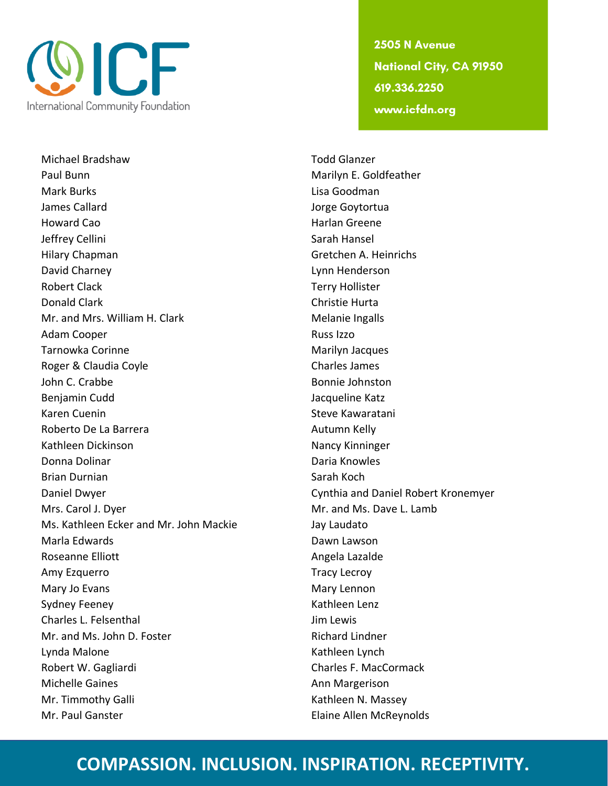

Michael Bradshaw Todd Glanzer Paul Bunn Marilyn E. Goldfeather Mark Burks **Mark Burks** Lisa Goodman James Callard **Jorge Goytortua** Howard Cao **Harlan Greene** Jeffrey Cellini Sarah Hansel Hilary Chapman Gretchen A. Heinrichs David Charney Lynn Henderson Robert Clack Terry Hollister Donald Clark Christie Hurta Mr. and Mrs. William H. Clark Melanie Ingalls Adam Cooper **Russ Izzo** Russ Izzo Tarnowka Corinne **Marilyn Jacques** Marilyn Jacques Roger & Claudia Coyle **Charles James** Charles James John C. Crabbe Bonnie Johnston Benjamin Cudd **Jacqueline Katz** Karen Cuenin National Steve Kawaratani Roberto De La Barrera **Autumn Kelly** Roberto De La Barrera Kathleen Dickinson Nancy Kinninger Donna Dolinar Daria Knowles Brian Durnian Sarah Koch (Sarah Koch Daniel Dwyer Cynthia and Daniel Robert Kronemyer Mrs. Carol J. Dyer **Mr. and Ms. Dave L. Lamb** Ms. Kathleen Ecker and Mr. John Mackie Jay Laudato Marla Edwards **Dawn Lawson** Roseanne Elliott **Angela Lazalde** Amy Ezquerro **Tracy Lecroy** Mary Jo Evans Mary Lennon Mary Lennon Sydney Feeney Nathleen Lenz Charles L. Felsenthal **Im Lewis** Jim Lewis Mr. and Ms. John D. Foster **Richard Lindner** Richard Lindner Lynda Malone **Kathleen Lynch** Kathleen Lynch Robert W. Gagliardi Charles F. MacCormack Michelle Gaines **Announce Announce** Ann Margerison Mr. Timmothy Galli Kathleen N. Massey Mr. Paul Ganster **Elaine Allen McReynolds** 

2505 N Avenue **National City, CA 91950** 619.336.2250 www.icfdn.org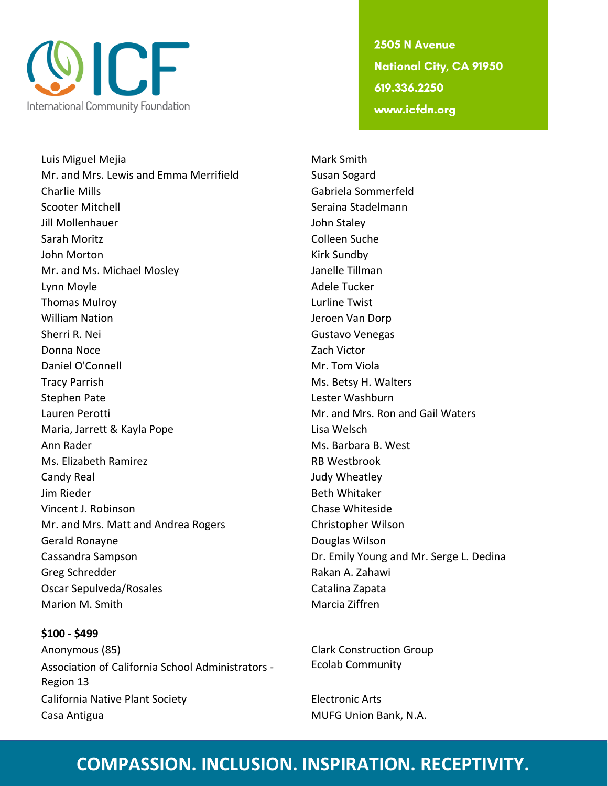

Luis Miguel Mejia Mark Smith Mr. and Mrs. Lewis and Emma Merrifield Susan Sogard Charlie Mills Gabriela Sommerfeld Scooter Mitchell Seraina Stadelmann Jill Mollenhauer John Staley Sarah Moritz Colleen Suche John Morton National Communication of the Kirk Sundby Mr. and Ms. Michael Mosley **Janelle Tillman** Lynn Moyle **Adele Tucker** Adele Tucker Thomas Mulroy Lurline Twist William Nation **Victor** Controllering School and Dorp Jeroen Van Dorp Sherri R. Nei Gustavo Venegas Donna Noce **Zach Victor Zach Victor** Daniel O'Connell **Mr. Tom Viola** Tracy Parrish Ms. Betsy H. Walters Stephen Pate Lester Washburn Lauren Perotti **Mr. and Mrs. Ron and Gail Waters** Maria, Jarrett & Kayla Pope Lisa Welsch Ann Rader **Matter and Ann Rader** Ms. Barbara B. West Ms. Elizabeth Ramirez RB Westbrook Candy Real **Candy Real** Judy Wheatley Jim Rieder Beth Whitaker Vincent J. Robinson Chase Whiteside Mr. and Mrs. Matt and Andrea Rogers Christopher Wilson Gerald Ronayne **Douglas Wilson** Cassandra Sampson Dr. Emily Young and Mr. Serge L. Dedina Greg Schredder **Rakan A. Zahawi** Oscar Sepulveda/Rosales Catalina Zapata Marion M. Smith Marcia Ziffren

**\$100 - \$499** Anonymous (85) Clark Construction Group Association of California School Administrators - Region 13 California Native Plant Society **Electronic Arts** Casa Antigua **MUFG Union Bank, N.A.** 

2505 N Avenue **National City, CA 91950** 619.336.2250 www.icfdn.org

Ecolab Community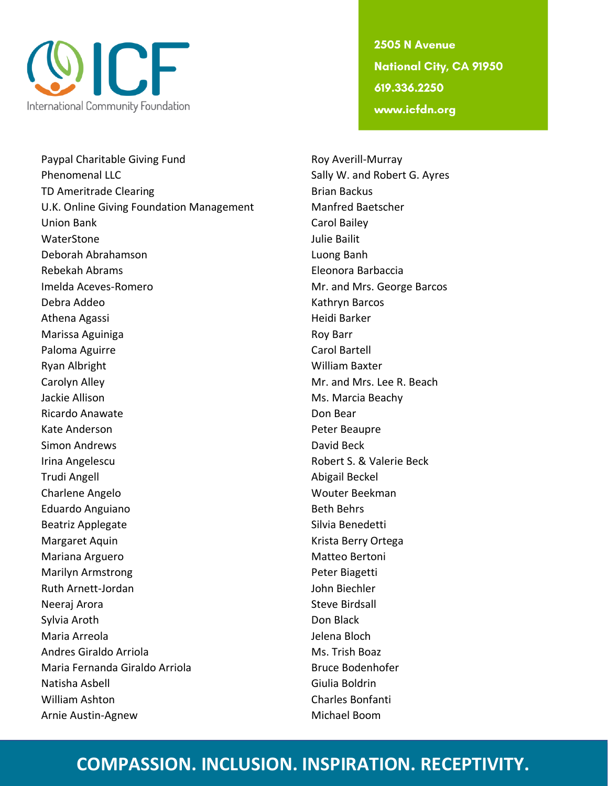

Paypal Charitable Giving Fund Roy Averill-Murray Phenomenal LLC **Sally W. and Robert G. Ayres** Sally W. and Robert G. Ayres TD Ameritrade Clearing Brian Backus U.K. Online Giving Foundation Management Manfred Baetscher Union Bank Carol Bailey WaterStone Julie Bailit Deborah Abrahamson Luong Banh Rebekah Abrams Eleonora Barbaccia Imelda Aceves-Romero **Mr.** and Mrs. George Barcos Debra Addeo Kathryn Barcos Athena Agassi **Heidi Barker** Heidi Barker Marissa Aguiniga **Roy Barr** Roy Barr Paloma Aguirre **Carol Bartell** Ryan Albright William Baxter Carolyn Alley **Mr.** and Mrs. Lee R. Beach Jackie Allison **Ms. Marcia Beachy** Ricardo Anawate **Don Bear** Kate Anderson **Peter Beaupre** Simon Andrews **David Beck** David Beck Irina Angelescu **No. 2018** Robert S. & Valerie Beck Trudi Angell Abigail Beckel Charlene Angelo **Wouter Beekman** Eduardo Anguiano **Beth Behrs** Beatriz Applegate Silvia Benedetti Margaret Aquin **Krista Berry Ortega** Mariana Arguero **Matteo Bertoni** Marilyn Armstrong **Peter Biagetti** Ruth Arnett-Jordan and John Biechler Neeraj Arora **Neeraj Arora Elizabeth Elizabeth Steve Birdsall** Sylvia Aroth **Don Black** Maria Arreola **Jelena Bloch** Andres Giraldo Arriola **Ms. Trish Boaz** Maria Fernanda Giraldo Arriola **Bruce Bodenhofer** Bruce Bodenhofer Natisha Asbell Giulia Boldrin William Ashton Charles Bonfanti Arnie Austin-Agnew Michael Boom

2505 N Avenue **National City, CA 91950** 619.336.2250 www.icfdn.org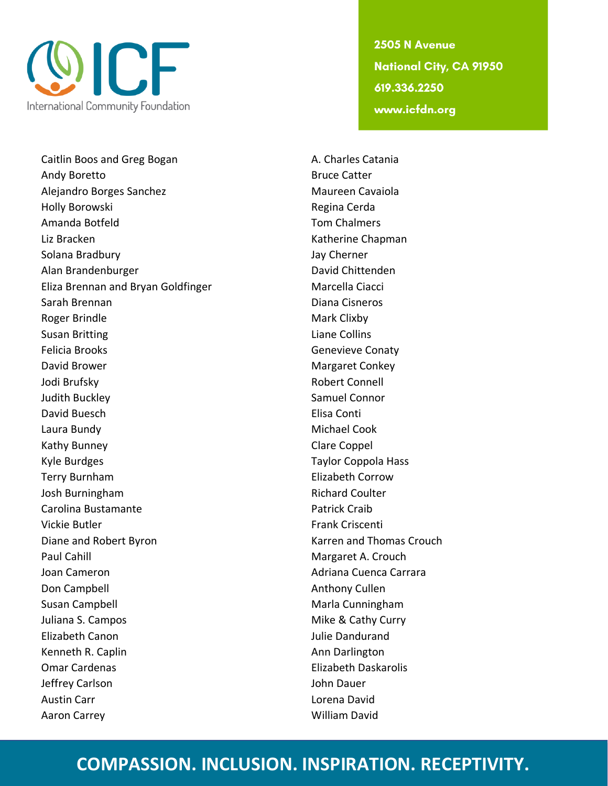

Caitlin Boos and Greg Bogan A. Charles Catania Andy Boretto **Bruce Catter** Alejandro Borges Sanchez Maureen Cavaiola Holly Borowski **Regina Cerda** Amanda Botfeld **Tom Chalmers** Liz Bracken Katherine Chapman Katherine Chapman Solana Bradbury **Jay Cherner** Jay Cherner Alan Brandenburger **David Chittenden** Eliza Brennan and Bryan Goldfinger Marcella Ciacci Sarah Brennan **Diana Cisneros** Roger Brindle Mark Clixby Susan Britting **Liane Collins** Felicia Brooks **Genevieve Conaty** David Brower Nargaret Conkey Jodi Brufsky **Robert Connell** Judith Buckley **Samuel Connor** David Buesch **Elisa Continental David Buesch** Elisa Continental Buesch Laura Bundy Michael Cook Kathy Bunney **Clare Coppel** Kyle Burdges Taylor Coppola Hass Terry Burnham **Elizabeth Corrow** Josh Burningham **Richard Coulter** Richard Coulter Carolina Bustamante **Patrick Craib** Vickie Butler **Frank Criscenti** Diane and Robert Byron New York Charles Karren and Thomas Crouch Paul Cahill **Margaret A. Crouch** Joan Cameron **Adriana Cuenca Carrara** Adriana Cuenca Carrara Don Campbell **Anthony Cullen** Susan Campbell **Mark** Cunningham Juliana S. Campos **Mike & Cathy Curry** Elizabeth Canon Julie Dandurand Kenneth R. Caplin **Announce Announce** Ann Darlington Omar Cardenas Elizabeth Daskarolis Jeffrey Carlson John Dauer Austin Carr **Lorena David Austin Carr Lorena David** Aaron Carrey No. 2006 - 2007 - 2010 Milliam David

2505 N Avenue **National City, CA 91950** 619.336.2250 www.icfdn.org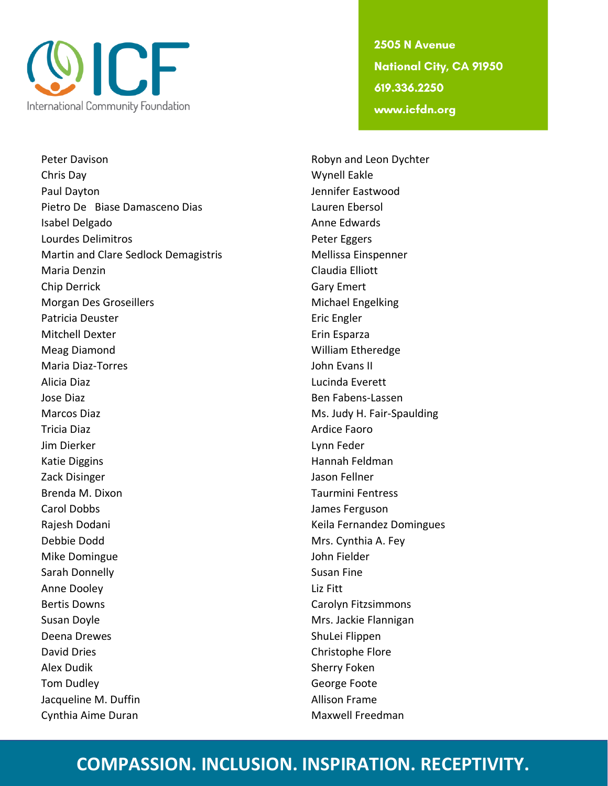

Peter Davison **Robyn and Leon Dychter** Robyn and Leon Dychter Chris Day Wynell Eakle Paul Dayton **Dayton** Jennifer Eastwood Pietro De Biase Damasceno Dias Lauren Ebersol Isabel Delgado **Anne Edwards** Lourdes Delimitros **Peter Eggers** Martin and Clare Sedlock Demagistris Mellissa Einspenner Maria Denzin Claudia Elliott Chip Derrick Gary Emert Morgan Des Groseillers Michael Engelking Patricia Deuster **Executed Executes** Eric Engler Mitchell Dexter **Expansion Controller Expansion** Erin Esparza Meag Diamond William Etheredge Maria Diaz-Torres **Maria Diaz-Torres** John Evans II Alicia Diaz Lucinda Everett Jose Diaz Ben Fabens-Lassen Marcos Diaz **Marcos Diaz** Ms. Judy H. Fair-Spaulding Tricia Diaz **Ardice Faoro Ardice Faoro** Jim Dierker Lynn Feder Katie Diggins **Hannah Feldman** Zack Disinger and Table 1 and Table 1 and Table 1 and Table 1 and Table 1 and Table 1 and Table 1 and Table 1 and Table 1 and Table 1 and Table 1 and Table 1 and Table 1 and Table 1 and Table 1 and Table 1 and Table 1 and Brenda M. Dixon **Taurmini Fentress** Carol Dobbs James Ferguson Rajesh Dodani **Keila Fernandez Domingues** Keila Fernandez Domingues Debbie Dodd Mrs. Cynthia A. Fey Mike Domingue **Voltage Communist Communist Communist Communist Communist Communist Communist Communist Communist Communist Communist Communist Communist Communist Communist Communist Communist Communist Communist Communist** Sarah Donnelly **Susan Fine** Susan Fine Anne Dooley **Liz Fitt** Bertis Downs **Carolyn Fitzsimmons** Carolyn Fitzsimmons Susan Doyle **Mrs.** Jackie Flannigan Deena Drewes ShuLei Flippen David Dries Christophe Flore Alex Dudik **Sherry Foken** Tom Dudley **George Foote** Jacqueline M. Duffin **Allison Frame** Cynthia Aime Duran Maxwell Freedman

2505 N Avenue **National City, CA 91950** 619.336.2250 www.icfdn.org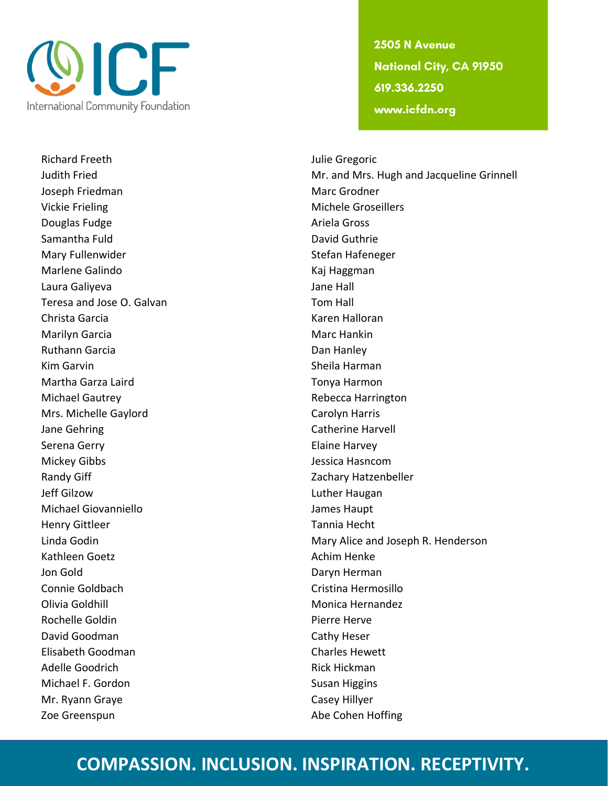

Richard Freeth **International Community** Sullie Gregoric Joseph Friedman Marc Grodner Vickie Frieling and The Contract of the Michele Groseillers Douglas Fudge **Ariela Gross** Ariela Gross Samantha Fuld **David Guthrie** Mary Fullenwider **Stefan Hafeneger** Stefan Hafeneger Marlene Galindo **Kaj Haggman** Laura Galiyeva **Jane Hall** Teresa and Jose O. Galvan Tom Hall Christa Garcia Karen Halloran Marilyn Garcia **Marc Hankin** Marc Hankin Ruthann Garcia **Dan Hanley** Kim Garvin **Sheila Harman** Martha Garza Laird **Tonya Harmon** Michael Gautrey **Rebecca Harrington** Mrs. Michelle Gaylord Carolyn Harris Jane Gehring Catherine Harvell and Catherine Harvell Serena Gerry **Elaine Harvey** Mickey Gibbs Jessica Hasncom Randy Giff **Example 2** Cachary Hatzenbeller Jeff Gilzow Luther Haugan Michael Giovanniello **James Haupt** Henry Gittleer Tannia Hecht Kathleen Goetz **Achim Henke** Achim Henke Jon Gold **Daryn Herman** Connie Goldbach Cristina Hermosillo Olivia Goldhill Monica Hernandez Rochelle Goldin **Pierre Herve** David Goodman Cathy Heser Elisabeth Goodman Charles Hewett Adelle Goodrich **Rick Hickman** Michael F. Gordon Susan Higgins Mr. Ryann Graye Casey Hillyer Zoe Greenspun and and the Cohen Hoffing

2505 N Avenue **National City, CA 91950** 619.336.2250 www.icfdn.org

Judith Fried Mr. and Mrs. Hugh and Jacqueline Grinnell Linda Godin **Mary Alice and Joseph R. Henderson** Mary Alice and Joseph R. Henderson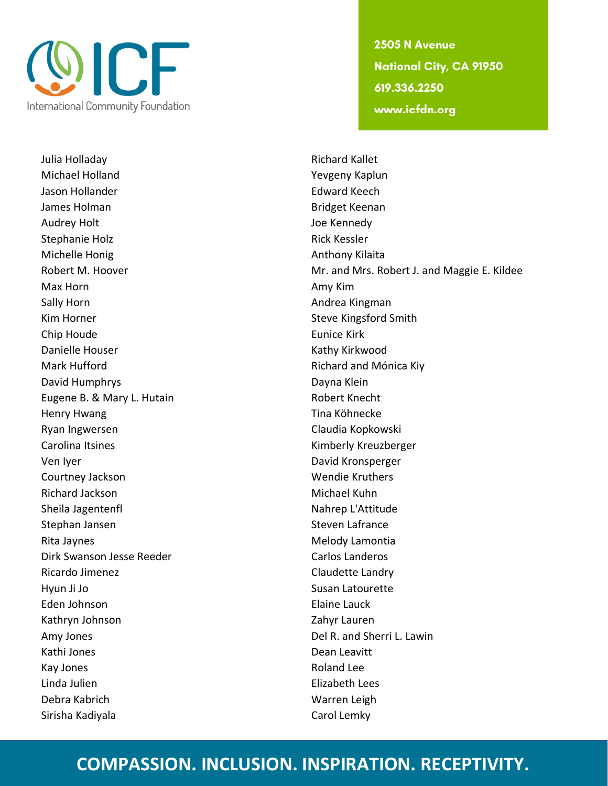

Julia Holladay **Richard Kallet** Michael Holland Yevgeny Kaplun Jason Hollander **Edward Keech** James Holman Bridget Keenan Audrey Holt **Audrey Holt Audrey Holt Audrey Holt Joe Kennedy** Stephanie Holz **Rick Kessler** Rick Kessler Michelle Honig **Anthony Kilaita** Anthony Kilaita Max Horn **Max Horn** Amy Kim **Amy Kim** Sally Horn **Andrea Kingman** Kim Horner Steve Kingsford Smith Chip Houde **Eunice Kirk** Danielle Houser National According Mathy Kirkwood Mark Hufford **Richard and Mónica Kiy** Richard and Mónica Kiy David Humphrys **Dayna Klein** Eugene B. & Mary L. Hutain Robert Knecht Henry Hwang Tina Köhnecke Ryan Ingwersen Claudia Kopkowski Carolina Itsines **Kimberly Kreuzberger** Kimberly Kreuzberger Ven Iyer **David Kronsperger** David Kronsperger Courtney Jackson Wendie Kruthers Richard Jackson **Michael Kuhn** Sheila Jagentenfl Nahrep L'Attitude Stephan Jansen Steven Lafrance Rita Jaynes **Melody Lamontia** Dirk Swanson Jesse Reeder Carlos Landeros Ricardo Jimenez **Claudette Landry** Hyun Ji Jo Susan Latourette Eden Johnson Elaine Lauck Kathryn Johnson Zahyr Lauren Amy Jones **Del R. and Sherri L. Lawin** Kathi Jones **Dean Leavitt** Kay Jones **Roland Lee** Linda Julien Elizabeth Lees Debra Kabrich Warren Leigh Sirisha Kadiyala **Carol Lemky** Carol Lemky

2505 N Avenue **National City, CA 91950** 619.336.2250 www.icfdn.org

Robert M. Hoover **Mr. and Mrs. Robert J. and Maggie E. Kildee**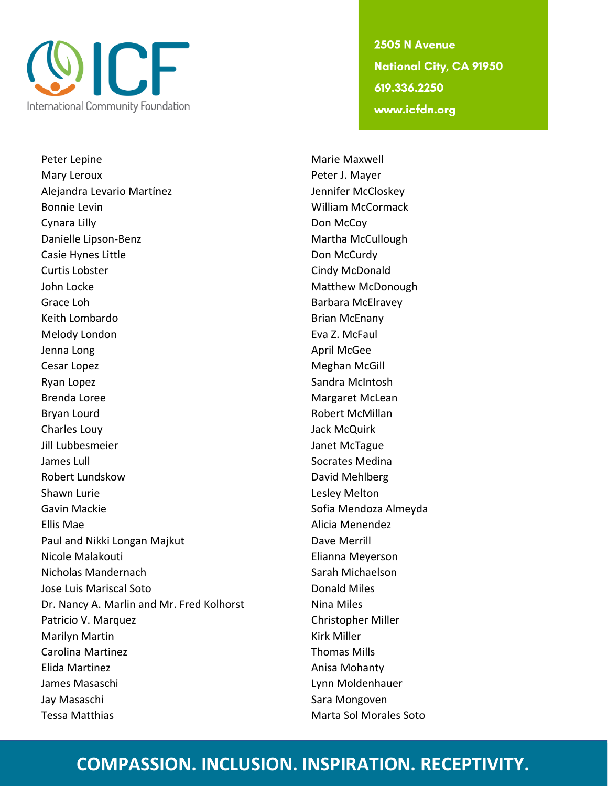

Peter Lepine Marie Maxwell Mary Leroux **Peter J. Mayer** Alejandra Levario Martínez **Jennifer McCloskey** Bonnie Levin William McCormack Cynara Lilly **Don McCoy** Danielle Lipson-Benz Martha McCullough Casie Hynes Little **Casie Hynes Little Don McCurdy** Curtis Lobster Cindy McDonald John Locke **Matthew McDonough** Matthew McDonough Grace Loh Barbara McElravey Keith Lombardo **Brian McEnany** Melody London **Eva Z. McFaul** Jenna Long **April McGee** Cesar Lopez **Meghan McGill** Cesar Lopez **Meghan McGill** Ryan Lopez **Sandra McIntosh** Brenda Loree Margaret McLean Bryan Lourd **Robert McMillan** Charles Louy Jack McQuirk Jill Lubbesmeier **Janet McTague** James Lull Socrates Medina Robert Lundskow David Mehlberg Shawn Lurie **Lesley Melton** Gavin Mackie **Sofia Mendoza Almeyda** Sofia Mendoza Almeyda Ellis Mae Alicia Menendez Paul and Nikki Longan Majkut Dave Merrill Nicole Malakouti Elianna Meyerson Nicholas Mandernach Sarah Michaelson Jose Luis Mariscal Soto Donald Miles Dr. Nancy A. Marlin and Mr. Fred Kolhorst Nina Miles Patricio V. Marquez Christopher Miller Marilyn Martin Nation Communication and Marilyn Miller Carolina Martinez **Thomas Mills** Elida Martinez **Anisa Mohanty** Anisa Mohanty James Masaschi Lynn Moldenhauer Jay Masaschi **Sara Mongoven** Tessa Matthias **Marta Sol Morales Soto** Marta Sol Morales Soto

2505 N Avenue **National City, CA 91950** 619.336.2250 www.icfdn.org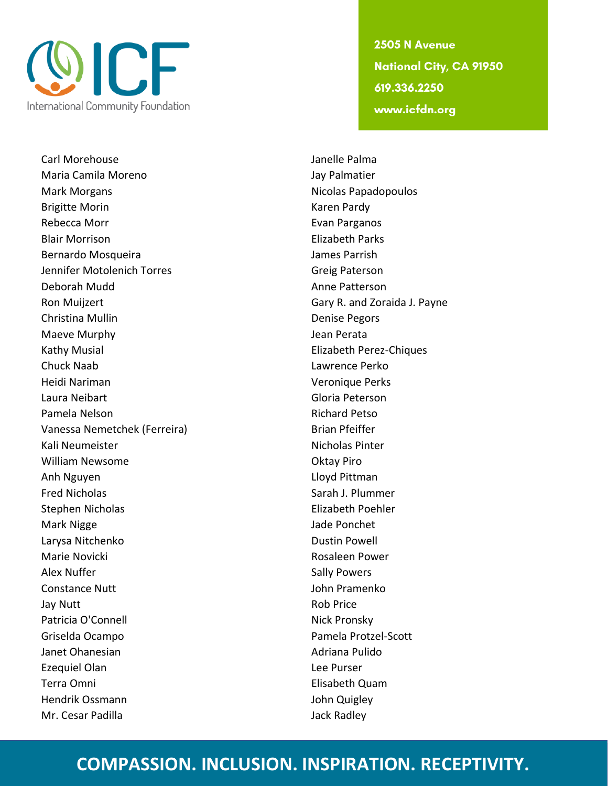

Carl Morehouse **Carl Morehouse** Janelle Palma Maria Camila Moreno Jay Palmatier Mark Morgans Nicolas Papadopoulos Brigitte Morin **Karen Pardy** Rebecca Morr **Evan Parganos Evan Parganos** Blair Morrison Elizabeth Parks Bernardo Mosqueira **James Parrish** Jennifer Motolenich Torres Greig Paterson Deborah Mudd **Anne Patterson** Ron Muijzert **Gary R. and Zoraida J. Payne** Christina Mullin **Denise Pegors** Maeve Murphy **Mathews** Jean Perata Kathy Musial Elizabeth Perez-Chiques Chuck Naab Lawrence Perko Heidi Nariman Veronique Perks Laura Neibart Gloria Peterson Pamela Nelson **Richard Petso** Richard Petso Vanessa Nemetchek (Ferreira) Brian Pfeiffer Kali Neumeister Nicholas Pinter William Newsome **Oktay Piro** Anh Nguyen **Litter and South Annual Annual Community** Lloyd Pittman Fred Nicholas Sarah J. Plummer Stephen Nicholas Elizabeth Poehler Mark Nigge Jade Ponchet Larysa Nitchenko **Dustin Powell** Marie Novicki **Marie Novicki** Rosaleen Power Alex Nuffer Sally Powers Constance Nutt **Constance Nutt John Pramenko** Jay Nutt **Rob Price** Patricia O'Connell Nick Pronsky Griselda Ocampo Pamela Protzel-Scott Janet Ohanesian **Adriana Pulido** Adriana Pulido Ezequiel Olan **Lee Purser** Terra Omni Elisabeth Quam Hendrik Ossmann John Quigley Mr. Cesar Padilla and a state of the United States and Jack Radley

2505 N Avenue **National City, CA 91950** 619.336.2250 www.icfdn.org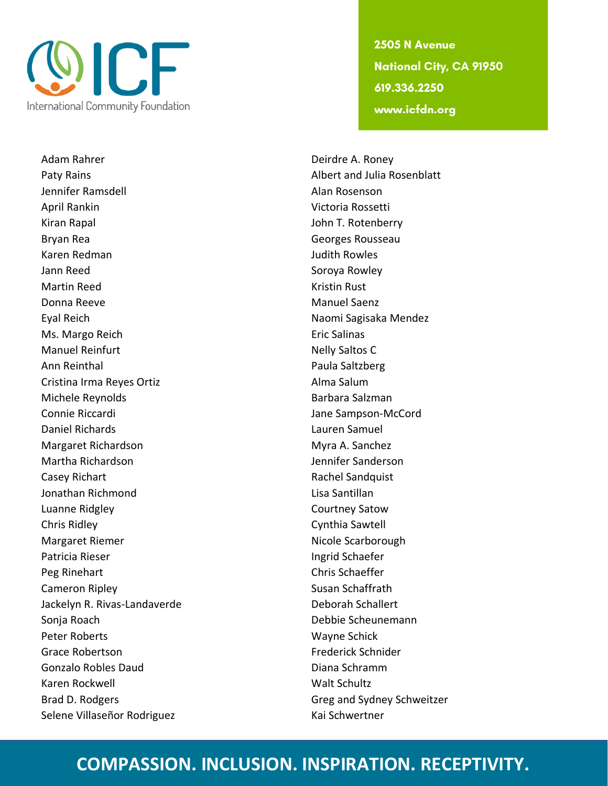

Adam Rahrer **Deirdre A. Roney** Paty Rains **Albert and Julia Rosenblatt** Jennifer Ramsdell Alan Rosenson April Rankin Victoria Rossetti Kiran Rapal **Internal Accepts** Community School and T. Rotenberry Bryan Rea Georges Rousseau and Bryan Rea Georges Rousseau and Georges Rousseau and Georges Rousseau and Georges Rousseau and Georges Rousseau and Georges Rousseau and Georges Rousseau and Georges Rousseau and Georges Rouss Karen Redman Judith Rowles Jann Reed Soroya Rowley Martin Reed Kristin Rust Donna Reeve Manuel Saenz Eyal Reich Naomi Sagisaka Mendez Ms. Margo Reich Eric Salinas Manuel Reinfurt **Nelly Saltos C** Ann Reinthal **Paula Saltzberg** Cristina Irma Reyes Ortiz **Alma Salum** Michele Reynolds **Barbara Salzman** Connie Riccardi Jane Sampson-McCord Daniel Richards Lauren Samuel Margaret Richardson **Margaret Richardson** Myra A. Sanchez Martha Richardson Jennifer Sanderson Casey Richart **Rachel Sandquist** Rachel Sandquist Jonathan Richmond Lisa Santillan Luanne Ridgley **Courtney Satow** Chris Ridley Cynthia Sawtell Margaret Riemer Nicole Scarborough Patricia Rieser **Ingrid Schaefer** Ingrid Schaefer Peg Rinehart **Chris Schaeffer** Cameron Ripley **Susan Schaffrath** Jackelyn R. Rivas-Landaverde **Deborah Schallert** Sonja Roach Debbie Scheunemann Peter Roberts National Schick Wayne Schick Grace Robertson **Frederick Schnider Frederick Schnider** Gonzalo Robles Daud **Diana Schramm** Karen Rockwell National Walt Schultz Brad D. Rodgers Greg and Sydney Schweitzer Selene Villaseñor Rodriguez Kai Schwertner

2505 N Avenue **National City, CA 91950** 619.336.2250 www.icfdn.org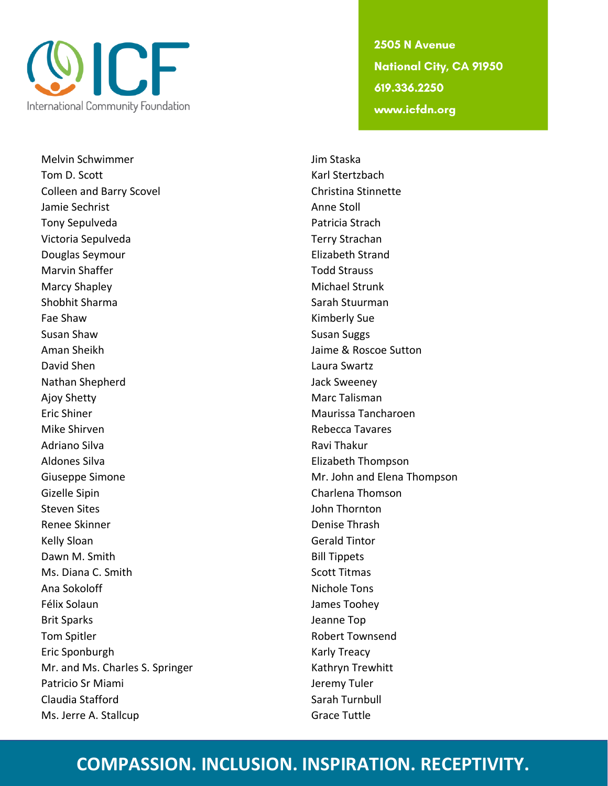

Melvin Schwimmer and Jim Staska Tom D. Scott **Karl Stertzbach** Colleen and Barry Scovel Colleen and Barry Scovel Jamie Sechrist Anne Stoll Tony Sepulveda **Patricia Strach** Victoria Sepulveda Terry Strachan Douglas Seymour Elizabeth Strand Marvin Shaffer Todd Strauss Marcy Shapley **Michael Strunk** Shobhit Sharma Shobhit Sharman Shobhit Sharman Shobhit Sharman Sarah Stuurman Fae Shaw Kimberly Sue Susan Shaw Susan Suggs Susan Suggs Aman Sheikh **Jaime & Roscoe Sutton** David Shen Laura Swartz Nathan Shepherd **Jack Sweeney** Ajoy Shetty **Marc Talisman** Eric Shiner Maurissa Tancharoen Mike Shirven **Rebecca Tavares Rebecca Tavares** Adriano Silva Ravi Thakur Ravi Thakur Ravi Thakur Aldones Silva **Elizabeth Thompson** Giuseppe Simone **Mr. John and Elena Thompson** Gizelle Sipin Charlena Thomson Steven Sites **Steven Sites** John Thornton Renee Skinner New York 1980 and the Denise Thrash Kelly Sloan Gerald Tintor Dawn M. Smith Bill Tippets Ms. Diana C. Smith Scott Titmas Ana Sokoloff Nichole Tons Félix Solaun James Toohey Brit Sparks **Internal Community** Seam and Seam and Seam and Jeanne Top Tom Spitler **No. 2018 Robert Townsend** Eric Sponburgh **Karly Treacy** Mr. and Ms. Charles S. Springer Kathryn Trewhitt Patricio Sr Miami **Verentia di Servero Statione di Servero Sr I**eremy Tuler Claudia Stafford **Sarah Turnbull** Sarah Turnbull Ms. Jerre A. Stallcup Grace Tuttle

2505 N Avenue **National City, CA 91950** 619.336.2250 www.icfdn.org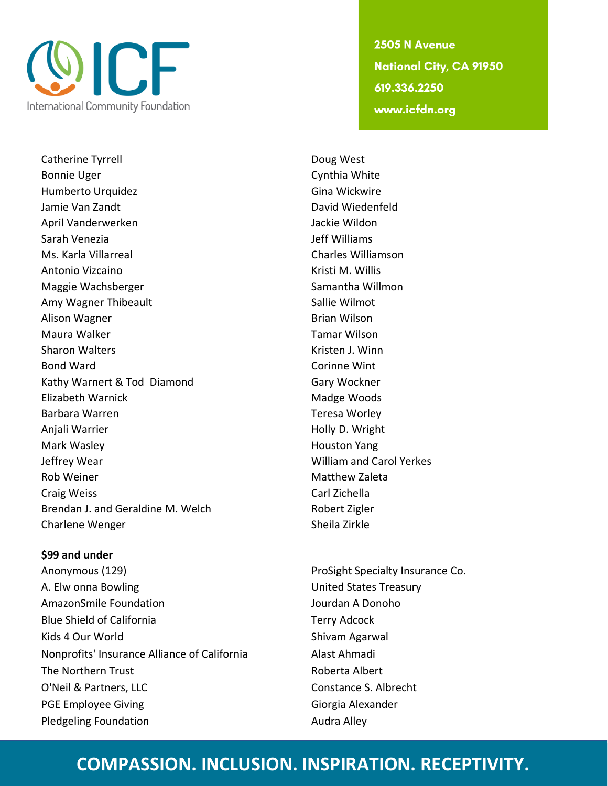

Catherine Tyrrell **Catherine Tyrrell** Bonnie Uger Cynthia White Humberto Urquidez **Gina Wickwire** Jamie Van Zandt David Wiedenfeld April Vanderwerken and die Basis verwystellige verwystellige verwystellige verwystellige verwystellige verwyst Sarah Venezia Jeff Williams Ms. Karla Villarreal Charles Williamson Antonio Vizcaino **Kristi M. Willis** Antonio Vizcaino Maggie Wachsberger National Samantha Willmon Amy Wagner Thibeault **Sallie Wilmot** Sallie Wilmot Alison Wagner **Brian Wilson** Maura Walker National Communication of the Mauritius of Tamar Wilson Sharon Walters **Kristen J. Winn** Bond Ward **Corinnell** Ward **Corinnell** Wint Kathy Warnert & Tod Diamond Gary Wockner Elizabeth Warnick **Madge Woods** Madge Woods Barbara Warren Teresa Worley Anjali Warrier **Holly D. Wright Anjali Warrier** Manuson Museum Museum Museum Museum Museum Museum Museum Museum Museum Museum Museum Museum Museum Museum Museum Museum Museum Museum Museum Museum Museum Museum Museum Mus Mark Wasley **Mark Wasley Mark Wasley Mark Wasley** Jeffrey Wear William and Carol Yerkes Rob Weiner Matthew Zaleta Craig Weiss Carl Zichella Brendan J. and Geraldine M. Welch Robert Zigler Charlene Wenger Sheila Zirkle

#### **\$99 and under**

Anonymous (129) **ProSight Specialty Insurance Co.** ProSight Specialty Insurance Co. A. Elw onna Bowling The Communication of the United States Treasury AmazonSmile Foundation and Jourdan A Donoho Blue Shield of California Terry Adcock Kids 4 Our World Shivam Agarwal Nonprofits' Insurance Alliance of California Alast Ahmadi The Northern Trust **Roberta** Albert O'Neil & Partners, LLC Constance S. Albrecht PGE Employee Giving Giorgia Alexander Pledgeling Foundation and Audra Alley

2505 N Avenue **National City, CA 91950** 619.336.2250 www.icfdn.org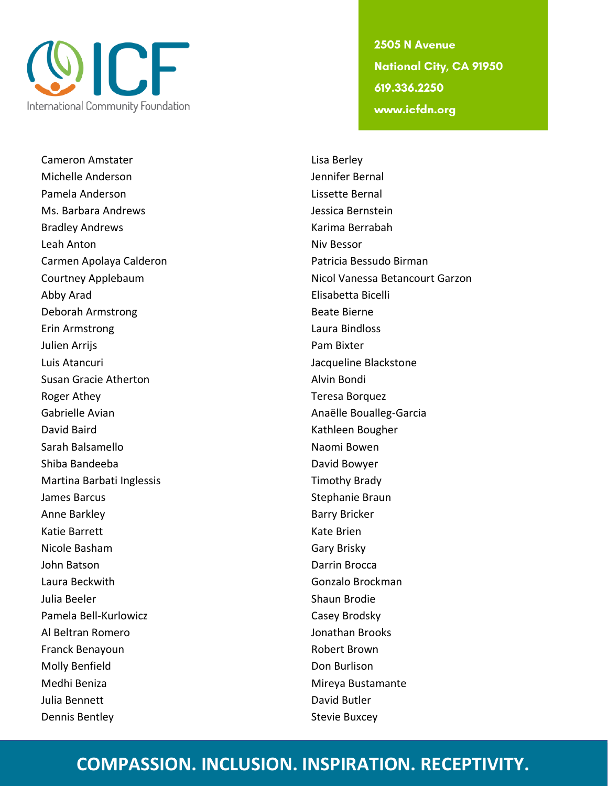

Cameron Amstater **Lisa Berley Lisa Berley** Michelle Anderson Jennifer Bernal Pamela Anderson Lissette Bernal Ms. Barbara Andrews Jessica Bernstein Bradley Andrews Karima Berrabah **Leah Anton** Niv Bessor Carmen Apolaya Calderon Patricia Bessudo Birman Abby Arad Elisabetta Bicelli Deborah Armstrong and Beate Bierne Erin Armstrong Laura Bindloss Julien Arrijs Pam Bixter Luis Atancuri Jacqueline Blackstone Susan Gracie Atherton **Alvin Bondi Alvin Bondi** Roger Athey **Teresa Borquez** Gabrielle Avian **Anaëlle Boualleg-Garcia** Anaëlle Boualleg-Garcia David Baird **Kathleen Bougher** Charles Bougher Sarah Balsamello Naomi Bowen Shiba Bandeeba **David Bowyer** Martina Barbati Inglessis Timothy Brady James Barcus Stephanie Braun (Stephanie Braun) Anne Barkley **Barry Bricker** Barry Bricker Katie Barrett **Katie Brien** Nicole Basham Gary Brisky John Batson Darrin Brocca Laura Beckwith Gonzalo Brockman Julia Beeler **Shaun Brodie** Shaun Brodie Pamela Bell-Kurlowicz **Casey Brodsky** Al Beltran Romero Jonathan Brooks Franck Benayoun **Robert Brown** Molly Benfield **Don Burlison** Medhi Beniza **Mireya Bustamante** Julia Bennett **David Butler** David Butler Dennis Bentley **Stevie Buxcey** Stevie Buxcey

2505 N Avenue **National City, CA 91950** 619.336.2250 www.icfdn.org

Courtney Applebaum **Nicol Vanessa Betancourt Garzon**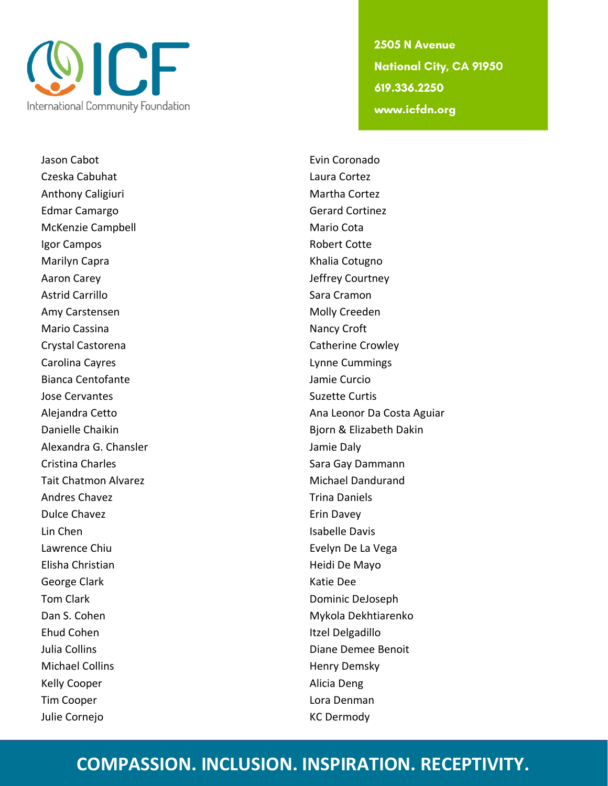

Jason Cabot **Evin Coronado** Czeska Cabuhat Laura Cortez Anthony Caligiuri **Martha Cortez Martha Cortez** Edmar Camargo Gerard Cortinez McKenzie Campbell Mario Cota Igor Campos **Robert Cotte** Marilyn Capra **Khalia Cotugno** Khalia Cotugno Aaron Carey **Aaron Carey Courtney** Jeffrey Courtney Astrid Carrillo **Sara Cramon** Amy Carstensen Molly Creeden Mario Cassina Nancy Croft Crystal Castorena Crystal Catherine Crowley Carolina Cayres **Lynne Cummings** Bianca Centofante **Jamie Curcio** Jose Cervantes **Suzette Curtis** Suzette Curtis Alexandra G. Chansler Jamie Daly Cristina Charles **Sara Gay Dammann** Tait Chatmon Alvarez **Michael Dandurand** Andres Chavez **Trina Daniels** Dulce Chavez **Example 2** and the Chavez **Example 2** and the Erin Davey Lin Chen **Isabelle Davis** Lawrence Chiu **Evelyn De La Vega** Elisha Christian **Heidi De Mayo** George Clark Katie Dee Tom Clark **Dominic DeJoseph** Dominic DeJoseph Dan S. Cohen Mykola Dekhtiarenko Ehud Cohen **Itzel Delgadillo** Julia Collins **Diane Demee Benoit Diane Demee Benoit** Michael Collins **Henry Demsky** Kelly Cooper **Alicia** Deng Tim Cooper **Lora Denman** Julie Cornejo KC Dermody

2505 N Avenue **National City, CA 91950** 619.336.2250 www.icfdn.org

Alejandra Cetto Ana Leonor Da Costa Aguiar Danielle Chaikin Bjorn & Elizabeth Dakin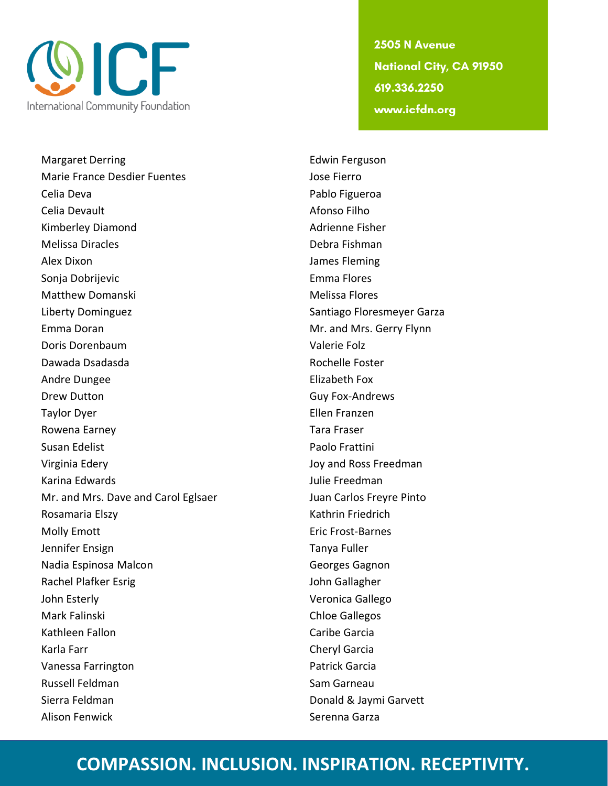

Margaret Derring **Edwin Ferguson** Marie France Desdier Fuentes and Marie France Desdier Fuentes Celia Deva Pablo Figueroa Celia Devault Afonso Filho Kimberley Diamond **Adrienne Fisher** Adrienne Fisher Melissa Diracles **Debra Fishman** Alex Dixon James Fleming Sonja Dobrijevic **Emma Flores** Emma Flores Matthew Domanski Melissa Flores Liberty Dominguez **Santiago Floresmeyer Garza** Emma Doran **Mr. and Mrs. Gerry Flynn** Doris Dorenbaum Valerie Folz Dawada Dsadasda **Rochelle Foster** Rochelle Foster Andre Dungee **Elizabeth Fox** Drew Dutton Guy Fox-Andrews Taylor Dyer Ellen Franzen Rowena Earney Tara Fraser Susan Edelist **Paolo Frattini** Virginia Edery **Accord Property** Controller Manual Accord Joy and Ross Freedman Karina Edwards **Julie Freedman** Mr. and Mrs. Dave and Carol Eglsaer Juan Carlos Freyre Pinto Rosamaria Elszy **Kathrin Friedrich** Kathrin Friedrich Molly Emott **Example 2018** Eric Frost-Barnes Jennifer Ensign Tanya Fuller Nadia Espinosa Malcon Georges Gagnon Rachel Plafker Esrig John Gallagher John Esterly Veronica Gallego Mark Falinski Chloe Gallegos Kathleen Fallon **Caribe Garcia** Karla Farr Cheryl Garcia Vanessa Farrington **Patrick Garcia** Russell Feldman Sam Garneau Sierra Feldman Donald & Jaymi Garvett Alison Fenwick **Serenna Garza** 

2505 N Avenue **National City, CA 91950** 619.336.2250 www.icfdn.org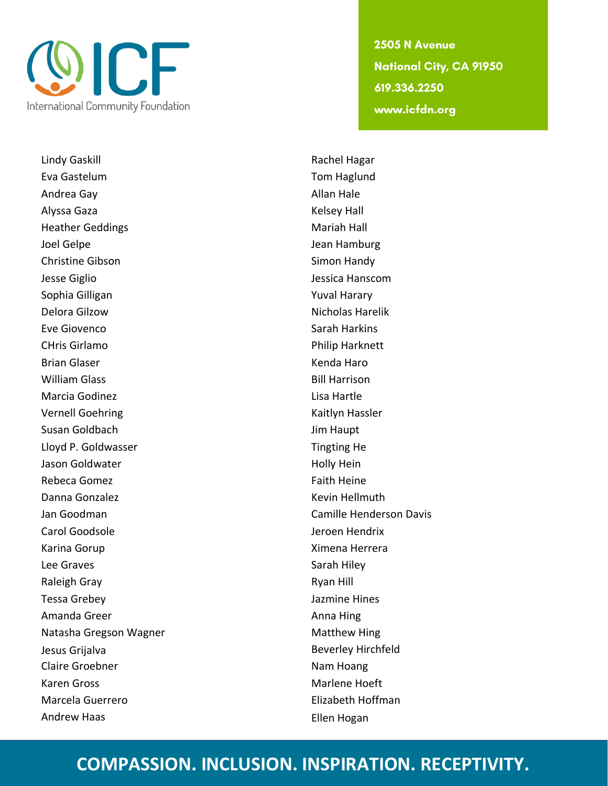

Lindy Gaskill **Rachel Hagar** Rachel Hagar Eva Gastelum Tom Haglund Andrea Gay **Allan Hale** Alyssa Gaza **Kelsey Hall** Heather Geddings **Mariah Hall** Joel Gelpe Jean Hamburg Christine Gibson Simon Handy Jesse Giglio Jessica Hanscom Sophia Gilligan **Yuval Harary** Delora Gilzow Nicholas Harelik Eve Giovenco **Sarah Harkins** CHris Girlamo Philip Harknett Brian Glaser **Kenda Haro** William Glass **Bill Harrison** Marcia Godinez **Lisa Hartle** Vernell Goehring National Association of the Kaitlyn Hassler Susan Goldbach Jim Haupt Lloyd P. Goldwasser **Tingting He** Jason Goldwater **Holly Hein** Holly Hein Rebeca Gomez **Faith Heine** Danna Gonzalez **Kevin Hellmuth** Jan Goodman Camille Henderson Davis Carol Goodsole Jeroen Hendrix Karina Gorup **Ximena Herrera** Lee Graves and the same state of the Sarah Hiley Raleigh Gray **Raleigh Gray** Ryan Hill Tessa Grebey Jazmine Hines Amanda Greer **Anna Hing** Natasha Gregson Wagner Matthew Hing Jesus Grijalva Beverley Hirchfeld Claire Groebner Nam Hoang Karen Gross Marlene Hoeft Marcela Guerrero Elizabeth Hoffman Andrew Haas **Ellen** Hogan

2505 N Avenue **National City, CA 91950** 619.336.2250 www.icfdn.org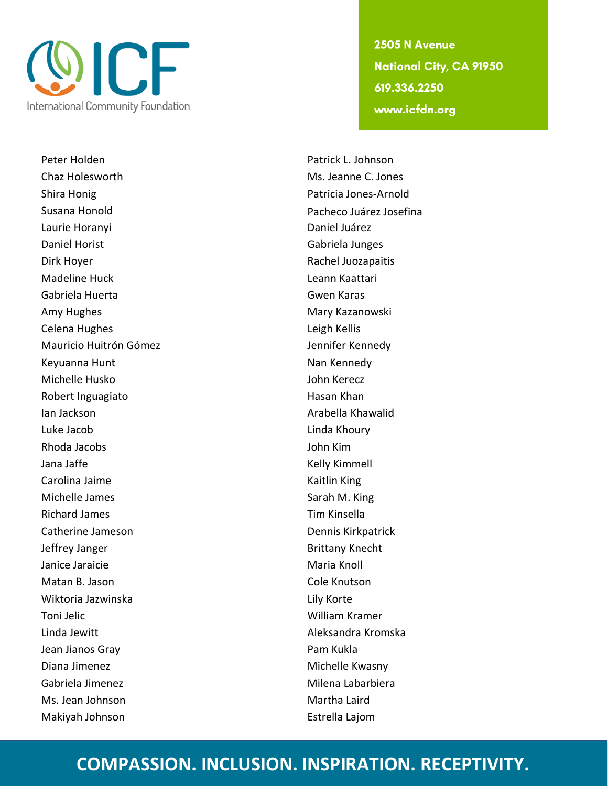

Peter Holden **Patrick L. Johnson** Chaz Holesworth Ms. Jeanne C. Jones Shira Honig **Patricia Jones-Arnold** Susana Honold **Pacheco Juárez Josefina** Laurie Horanyi Daniel Juárez Daniel Horist Gabriela Junges Dirk Hoyer **National Community Community** Rachel Juozapaitis Madeline Huck Leann Kaattari Gabriela Huerta Gwen Karas Amy Hughes **Mary Kazanowski** Celena Hughes Leigh Kellis Mauricio Huitrón Gómez **International Executor Cometa** Jennifer Kennedy Keyuanna Hunt Nan Kennedy Michelle Husko John Kerecz Robert Inguagiato **Hasan Khan** Ian Jackson Arabella Khawalid Luke Jacob Linda Khoury Rhoda Jacobs John Kim Jana Jaffe **Kelly Kimmell** Carolina Jaime **Kaitlin King** Michelle James **Sarah M. King** Richard James **Tim Kinsella** Catherine Jameson **Dennis Kirkpatrick** Jeffrey Janger Brittany Knecht Janice Jaraicie **Maria Knoll** Matan B. Jason Cole Knutson Wiktoria Jazwinska **Lily Korte** Toni Jelic William Kramer Linda Jewitt Aleksandra Kromska Jean Jianos Gray **Pam Kukla** Diana Jimenez **Michelle Kwasny** Gabriela Jimenez **Milena Labarbiera** Ms. Jean Johnson **Martha Laird** Martha Laird Makiyah Johnson Estrella Lajom

2505 N Avenue **National City, CA 91950** 619.336.2250 www.icfdn.org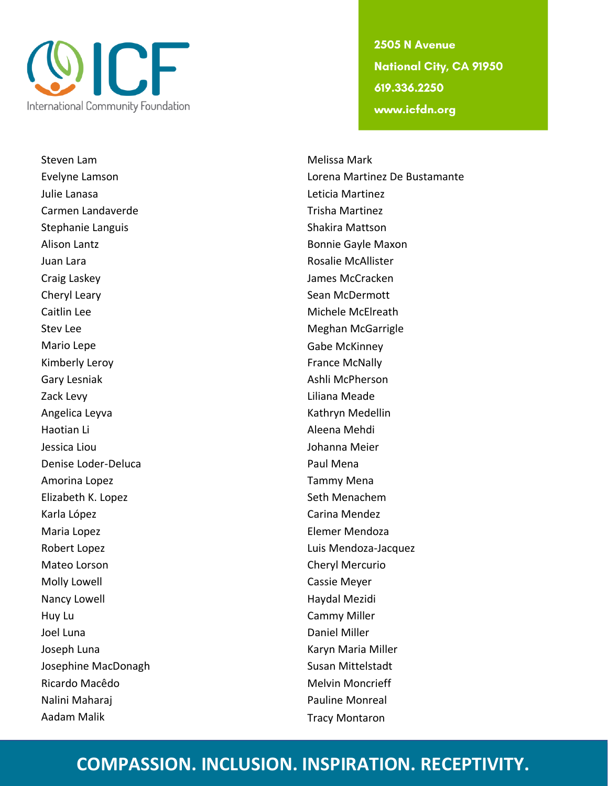

Steven Lam **Melissa Mark** Melissa Mark Julie Lanasa Leticia Martinez Carmen Landaverde Trisha Martinez Stephanie Languis Shakira Mattson Alison Lantz **Bonnie Gayle Maxon** Juan Lara Rosalie McAllister Craig Laskey James McCracken Cheryl Leary **Sean McDermott** Sean McDermott Caitlin Lee **Michele McElreath** Stev Lee **Meghan McGarrigle** Meghan McGarrigle Mario Lepe **Gabe McKinney** Kimberly Leroy **France McNally** Gary Lesniak **Ashli McPherson** Zack Levy **Liliana** Meade Angelica Leyva **Kathryn Medellin** Haotian Li **Aleena Mehdi** Jessica Liou Johanna Meier Denise Loder-Deluca **Paul Mena** Amorina Lopez **Tammy Mena** Elizabeth K. Lopez Seth Menachem Karla López **Carina Mendez** Carina Mendez Maria Lopez **Elemer Mendoza** Robert Lopez **Luis Mendoza-Jacquez** Mateo Lorson **Cheryl Mercurio** Molly Lowell **Cassie Meyer** Nancy Lowell **Nancy Lowell** Nancy Lowell and American Mexican Haydal Mezidi Huy Lu Cammy Miller Joel Luna **Daniel Miller** Joseph Luna **Karyn Maria Miller** Karyn Maria Miller Josephine MacDonagh Susan Mittelstadt Ricardo Macêdo **Macêdo** Melvin Moncrieff Nalini Maharaj Pauline Monreal Aadam Malik Tracy Montaron

2505 N Avenue **National City, CA 91950** 619.336.2250 www.icfdn.org

Evelyne Lamson Lorena Martinez De Bustamante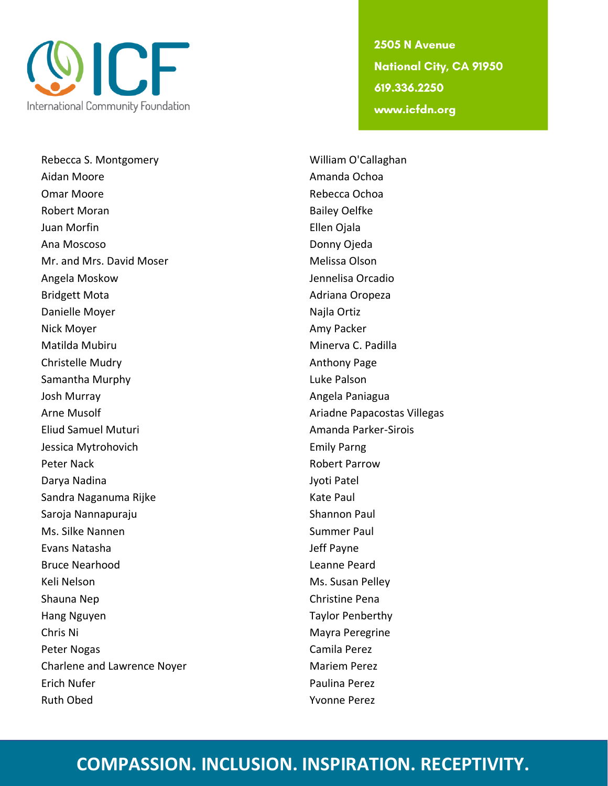

Rebecca S. Montgomery William O'Callaghan Aidan Moore **Amanda Ochoa** Amanda Ochoa Omar Moore **Rebecca Ochoa** Robert Moran **Bailey Oelfke** Juan Morfin Ellen Ojala Ana Moscoso Donny Ojeda Mr. and Mrs. David Moser Melissa Olson Angela Moskow Jennelisa Orcadio Bridgett Mota **Adriana** Oropeza Danielle Moyer Najla Ortiz Nick Moyer **Amy Packer** Amy Packer Matilda Mubiru **Minerva C. Padilla** Christelle Mudry **Anthony Page** Samantha Murphy **Luke Palson** Josh Murray **Angela Paniagua** Angela Paniagua Arne Musolf Ariadne Papacostas Villegas Eliud Samuel Muturi Amanda Parker-Sirois Jessica Mytrohovich **Emily Parng** Peter Nack **Robert Parrow** Darya Nadina **Indiana** Jyoti Patel Sandra Naganuma Rijke Kate Paul Saroja Nannapuraju Shannon Paul Ms. Silke Nannen Summer Paul Evans Natasha Jeff Payne Bruce Nearhood **Leanne Peard** Keli Nelson Ms. Susan Pelley Shauna Nep Christine Pena Hang Nguyen Taylor Penberthy Chris Ni **Mayra Peregrine** Peter Nogas **Camila Perez** Charlene and Lawrence Noyer Mariem Perez Erich Nufer **Paulina Perez** Ruth Obed **Yvonne Perez** 

2505 N Avenue **National City, CA 91950** 619.336.2250 www.icfdn.org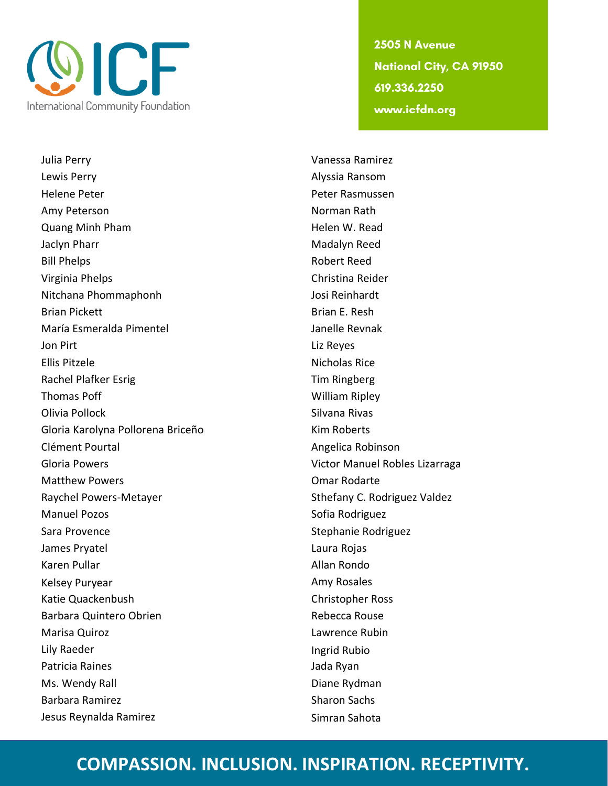

Julia Perry Vanessa Ramirez Lewis Perry **Alyssia Ransom** Helene Peter Peter Rasmussen Amy Peterson Norman Rath Quang Minh Pham **Helen W. Read** Jaclyn Pharr Madalyn Reed Bill Phelps **Robert Reed** Virginia Phelps Christina Reider Nitchana Phommaphonh Josi Reinhardt Brian Pickett **Brian E. Resh** María Esmeralda Pimentel **International Contract Contract Contract** Janelle Revnak **Jon Pirt** Liz Reyes Ellis Pitzele Nicholas Rice Rachel Plafker Esrig Tim Ringberg Thomas Poff William Ripley Olivia Pollock **Silvana Rivas** Gloria Karolyna Pollorena Briceño Kim Roberts Clément Pourtal and Angelica Robinson Gloria Powers **Victor Manuel Robles Lizarraga** Matthew Powers **Communist Communist Communist Communist Communist Communist Communist Communist Communist Communist Communist Communist Communist Communist Communist Communist Communist Communist Communist Communist Commun** Raychel Powers-Metayer Sthefany C. Rodriguez Valdez Manuel Pozos **Sofia Rodriguez** Sofia Rodriguez Sara Provence **Sara Provence** Stephanie Rodriguez James Pryatel **Laura Rojas** Karen Pullar **Allan Rondo** Kelsey Puryear **Amy Rosales** Amy Rosales Katie Quackenbush Christopher Ross Barbara Quintero Obrien **Rebecca Rouse** Rebecca Rouse Marisa Quiroz **Lawrence Rubin** Lily Raeder **Ingrid Rubio** Patricia Raines **Matricia Raines** Jada Ryan Ms. Wendy Rall **Diane Rydman** Barbara Ramirez **Sharon Sachs** Sharon Sachs Jesus Reynalda Ramirez **Simran Sahota** Simran Sahota

2505 N Avenue **National City, CA 91950** 619.336.2250 www.icfdn.org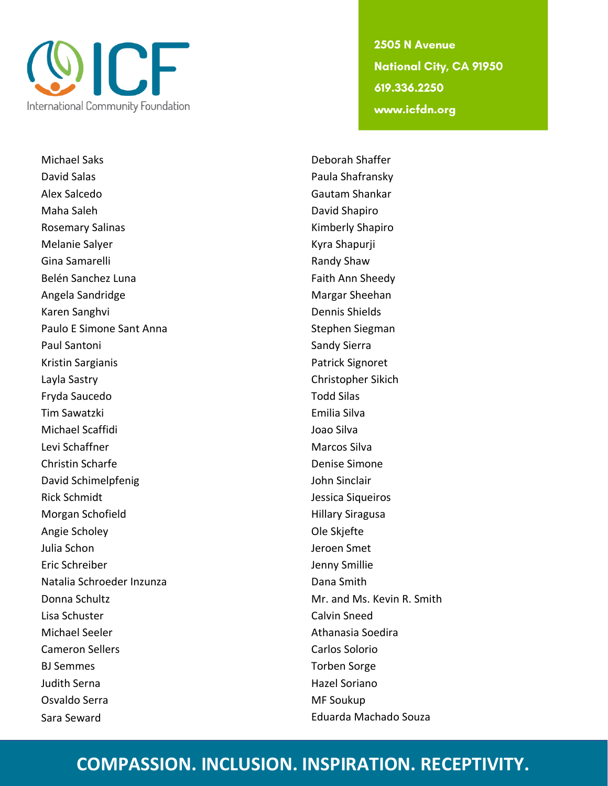

Michael Saks Deborah Shaffer David Salas **Paula Shafransky** Alex Salcedo Gautam Shankar Maha Saleh **David Shapiro** David Shapiro Rosemary Salinas **Kimberly Shapiro** Melanie Salyer **Kyra Shapurji** Kyra Shapurji Gina Samarelli **Randy Shaw** Belén Sanchez Luna Faith Ann Sheedy Angela Sandridge Margar Sheehan Karen Sanghvi Dennis Shields Paulo E Simone Sant Anna Stephen Siegman Paul Santoni **National Sandy Sierra** Sandy Sierra Kristin Sargianis **Patrick Signoret** Layla Sastry Christopher Sikich Fryda Saucedo **Todd Silas** Tim Sawatzki Emilia Silva Michael Scaffidi **Joan Silva** Levi Schaffner Marcos Silva Christin Scharfe **Denise Simone** David Schimelpfenig and a state of the John Sinclair Rick Schmidt **Australia Schmidt** Jessica Siqueiros Morgan Schofield **Hillary Siragusa** Angie Scholey **Angie Scholey Ole Skjefte** Julia Schon Jeroen Smet Eric Schreiber **International Execution** Smillie Natalia Schroeder Inzunza Dana Smith Donna Schultz **Mr. and Ms. Kevin R. Smith** Lisa Schuster Calvin Sneed Michael Seeler **Athanasia Soedira** Athanasia Soedira Cameron Sellers **Carlos Solorio** BJ Semmes Torben Sorge Judith Serna **Hazel Soriano** Osvaldo Serra MF Soukup Sara Seward Eduarda Machado Souza

2505 N Avenue **National City, CA 91950** 619.336.2250 www.icfdn.org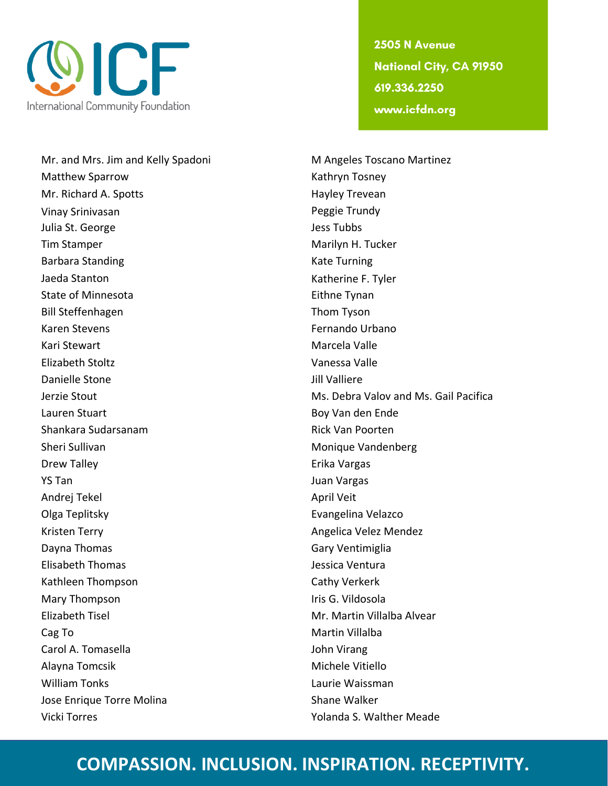

Mr. and Mrs. Jim and Kelly Spadoni Mangeles Toscano Martinez Matthew Sparrow **Kathryn Tosney** Mr. Richard A. Spotts **Hayley Trevean** Vinay Srinivasan **Peggie Trundy** Julia St. George **Julia St. George Julia St. George** Tim Stamper Marilyn H. Tucker Barbara Standing Turning Kate Turning Jaeda Stanton **Katherine F. Tyler** Katherine F. Tyler State of Minnesota **Eithne Tynan** Bill Steffenhagen Thom Tyson Karen Stevens Fernando Urbano Kari Stewart **Marcela Valle** Elizabeth Stoltz Vanessa Valle Danielle Stone Jill Valliere Lauren Stuart Boy Van den Ende Shankara Sudarsanam Rick Van Poorten Sheri Sullivan Monique Vandenberg Drew Talley **Example 20 and 20 and 20 and 20 and 20 and 20 and 20 and 20 and 20 and 20 and 20 and 20 and 20 and 20 and 20 and 20 and 20 and 20 and 20 and 20 and 20 and 20 and 20 and 20 and 20 and 20 and 20 and 20 and 20 an** YS Tan Juan Vargas Andrej Tekel **Andrej Tekel** April Veit Olga Teplitsky **Evangelina Velazco Evangelina Velazco** Kristen Terry **Angelica Velez Mendez** Angelica Velez Mendez Dayna Thomas Gary Ventimiglia Elisabeth Thomas Jessica Ventura Kathleen Thompson Cathy Verkerk Mary Thompson **International Contract Contract Contract Contract Contract Contract Contract Contract Contract Contract Contract Contract Contract Contract Contract Contract Contract Contract Contract Contract Contract Cont** Elizabeth Tisel Mr. Martin Villalba Alvear Cag To **Martin Villalba** Carol A. Tomasella John Virang Alayna Tomcsik Michele Vitiello William Tonks Laurie Waissman Jose Enrique Torre Molina Shane Walker Vicki Torres Yolanda S. Walther Meade

2505 N Avenue **National City, CA 91950** 619.336.2250 www.icfdn.org

Jerzie Stout Ms. Debra Valov and Ms. Gail Pacifica